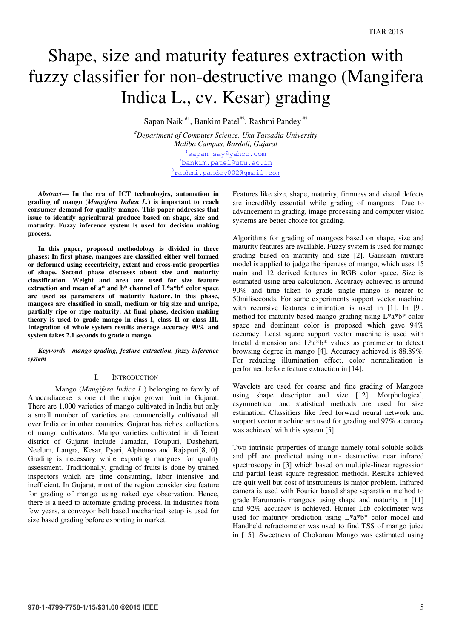# Shape, size and maturity features extraction with fuzzy classifier for non-destructive mango (Mangifera Indica L., cv. Kesar) grading

Sapan Naik  $*1$ , Bankim Patel<sup>#2</sup>, Rashmi Pandey<sup>#3</sup>

*#Department of Computer Science, Uka Tarsadia University Maliba Campus, Bardoli, Gujarat*  <sup>1</sup>[sapan\\_say@yahoo.com](mailto:1sapan_say@yahoo.com) [bankim.patel@utu.ac.in](mailto:2bankim.patel@utu.ac.in) <sup>3</sup>[rashmi.pandey002@gmail.com](mailto:3rashmi.pandey002@gmail.com)

*Abstract***— In the era of ICT technologies, automation in grading of mango (***Mangifera Indica L.***) is important to reach consumer demand for quality mango. This paper addresses that issue to identify agricultural produce based on shape, size and maturity. Fuzzy inference system is used for decision making process.** 

**In this paper, proposed methodology is divided in three phases: In first phase, mangoes are classified either well formed or deformed using eccentricity, extent and cross-ratio properties of shape. Second phase discusses about size and maturity classification. Weight and area are used for size feature extraction and mean of a\* and b\* channel of L\*a\*b\* color space are used as parameters of maturity feature. In this phase, mangoes are classified in small, medium or big size and unripe, partially ripe or ripe maturity. At final phase, decision making theory is used to grade mango in class I, class II or class III. Integration of whole system results average accuracy 90% and system takes 2.1 seconds to grade a mango.** 

*Keywords—mango grading, feature extraction, fuzzy inference system* 

## I. INTRODUCTION

Mango (*Mangifera Indica L*.) belonging to family of Anacardiaceae is one of the major grown fruit in Gujarat. There are 1,000 varieties of mango cultivated in India but only a small number of varieties are commercially cultivated all over India or in other countries. Gujarat has richest collections of mango cultivators. Mango varieties cultivated in different district of Gujarat include Jamadar, Totapuri, Dashehari, Neelum, Langra*,* Kesar, Pyari, Alphonso and Rajapuri[8,10]. Grading is necessary while exporting mangoes for quality assessment. Traditionally, grading of fruits is done by trained inspectors which are time consuming, labor intensive and inefficient. In Gujarat, most of the region consider size feature for grading of mango using naked eye observation. Hence, there is a need to automate grading process. In industries from few years, a conveyor belt based mechanical setup is used for size based grading before exporting in market.

Features like size, shape, maturity, firmness and visual defects are incredibly essential while grading of mangoes. Due to advancement in grading, image processing and computer vision systems are better choice for grading.

Algorithms for grading of mangoes based on shape, size and maturity features are available. Fuzzy system is used for mango grading based on maturity and size [2]. Gaussian mixture model is applied to judge the ripeness of mango, which uses 15 main and 12 derived features in RGB color space. Size is estimated using area calculation. Accuracy achieved is around 90% and time taken to grade single mango is nearer to 50miliseconds. For same experiments support vector machine with recursive features elimination is used in [1]. In [9], method for maturity based mango grading using L\*a\*b\* color space and dominant color is proposed which gave 94% accuracy. Least square support vector machine is used with fractal dimension and L\*a\*b\* values as parameter to detect browsing degree in mango [4]. Accuracy achieved is 88.89%. For reducing illumination effect, color normalization is performed before feature extraction in [14].

Wavelets are used for coarse and fine grading of Mangoes using shape descriptor and size [12]. Morphological, asymmetrical and statistical methods are used for size estimation. Classifiers like feed forward neural network and support vector machine are used for grading and 97% accuracy was achieved with this system [5].

Two intrinsic properties of mango namely total soluble solids and pH are predicted using non- destructive near infrared spectroscopy in [3] which based on multiple-linear regression and partial least square regression methods. Results achieved are quit well but cost of instruments is major problem. Infrared camera is used with Fourier based shape separation method to grade Harumanis mangoes using shape and maturity in [11] and 92% accuracy is achieved. Hunter Lab colorimeter was used for maturity prediction using  $L^*a^*b^*$  color model and Handheld refractometer was used to find TSS of mango juice in [15]. Sweetness of Chokanan Mango was estimated using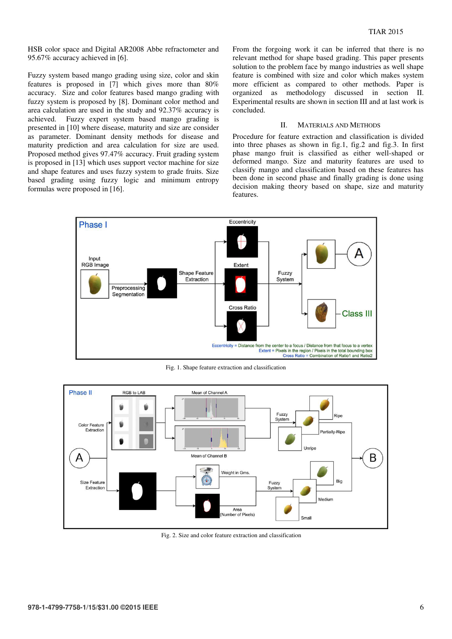HSB color space and Digital AR2008 Abbe refractometer and 95.67% accuracy achieved in [6].

Fuzzy system based mango grading using size, color and skin features is proposed in [7] which gives more than 80% accuracy. Size and color features based mango grading with fuzzy system is proposed by [8]. Dominant color method and area calculation are used in the study and 92.37% accuracy is achieved. Fuzzy expert system based mango grading is presented in [10] where disease, maturity and size are consider as parameter. Dominant density methods for disease and maturity prediction and area calculation for size are used. Proposed method gives 97.47% accuracy. Fruit grading system is proposed in [13] which uses support vector machine for size and shape features and uses fuzzy system to grade fruits. Size based grading using fuzzy logic and minimum entropy formulas were proposed in [16].

From the forgoing work it can be inferred that there is no relevant method for shape based grading. This paper presents solution to the problem face by mango industries as well shape feature is combined with size and color which makes system more efficient as compared to other methods. Paper is organized as methodology discussed in section II. Experimental results are shown in section III and at last work is concluded.

#### II. MATERIALS AND METHODS

Procedure for feature extraction and classification is divided into three phases as shown in fig.1, fig.2 and fig.3. In first phase mango fruit is classified as either well-shaped or deformed mango. Size and maturity features are used to classify mango and classification based on these features has been done in second phase and finally grading is done using decision making theory based on shape, size and maturity features.



Fig. 1. Shape feature extraction and classification



Fig. 2. Size and color feature extraction and classification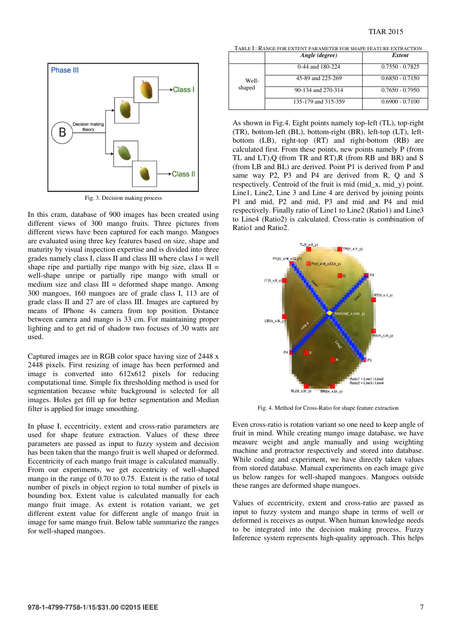

Fig. 3. Decision making process

In this cram, database of 900 images has been created using different views of 300 mango fruits. Three pictures from different views have been captured for each mango. Mangoes are evaluated using three key features based on size, shape and maturity by visual inspection expertise and is divided into three grades namely class I, class II and class III where class  $I = well$ shape ripe and partially ripe mango with big size, class  $II =$ well-shape unripe or partially ripe mango with small or medium size and class  $III =$  deformed shape mango. Among 300 mangoes, 160 mangoes are of grade class I, 113 are of grade class II and 27 are of class III. Images are captured by means of IPhone 4s camera from top position. Distance between camera and mango is 33 cm. For maintaining proper lighting and to get rid of shadow two focuses of 30 watts are used.

Captured images are in RGB color space having size of 2448 x 2448 pixels. First resizing of image has been performed and image is converted into 612x612 pixels for reducing computational time. Simple fix thresholding method is used for segmentation because white background is selected for all images. Holes get fill up for better segmentation and Median filter is applied for image smoothing.

In phase I, eccentricity, extent and cross-ratio parameters are used for shape feature extraction. Values of these three parameters are passed as input to fuzzy system and decision has been taken that the mango fruit is well shaped or deformed. Eccentricity of each mango fruit image is calculated manually. From our experiments, we get eccentricity of well-shaped mango in the range of 0.70 to 0.75. Extent is the ratio of total number of pixels in object region to total number of pixels in bounding box. Extent value is calculated manually for each mango fruit image. As extent is rotation variant, we get different extent value for different angle of mango fruit in image for same mango fruit. Below table summarize the ranges for well-shaped mangoes.

TABLE I : RANGE FOR EXTENT PARAMETER FOR SHAPE FEATURE EXTRACTION

|                 | Angle (degree)      | <b>Extent</b>     |
|-----------------|---------------------|-------------------|
| Well-<br>shaped | 0-44 and 180-224    | $0.7550 - 0.7825$ |
|                 | 45-89 and 225-269   | $0.6850 - 0.7150$ |
|                 | 90-134 and 270-314  | $0.7650 - 0.7950$ |
|                 | 135-179 and 315-359 | $0.6900 - 0.7100$ |

As shown in Fig.4. Eight points namely top-left (TL), top-right (TR), bottom-left (BL), bottom-right (BR), left-top (LT), leftbottom (LB), right-top (RT) and right-bottom (RB) are calculated first. From these points, new points namely P (from TL and LT),Q (from TR and RT),R (from RB and BR) and S (from LB and BL) are derived. Point P1 is derived from P and same way P2, P3 and P4 are derived from R, Q and S respectively. Centroid of the fruit is mid (mid\_x, mid\_y) point. Line1, Line2, Line 3 and Line 4 are derived by joining points P1 and mid, P2 and mid, P3 and mid and P4 and mid respectively. Finally ratio of Line1 to Line2 (Ratio1) and Line3 to Line4 (Ratio2) is calculated. Cross-ratio is combination of Ratio1 and Ratio2.



Fig. 4. Method for Cross-Ratio for shape feature extraction

Even cross-ratio is rotation variant so one need to keep angle of fruit in mind. While creating mango image database, we have measure weight and angle manually and using weighting machine and protractor respectively and stored into database. While coding and experiment, we have directly taken values from stored database. Manual experiments on each image give us below ranges for well-shaped mangoes. Mangoes outside these ranges are deformed shape mangoes.

Values of eccentricity, extent and cross-ratio are passed as input to fuzzy system and mango shape in terms of well or deformed is receives as output. When human knowledge needs to be integrated into the decision making process, Fuzzy Inference system represents high-quality approach. This helps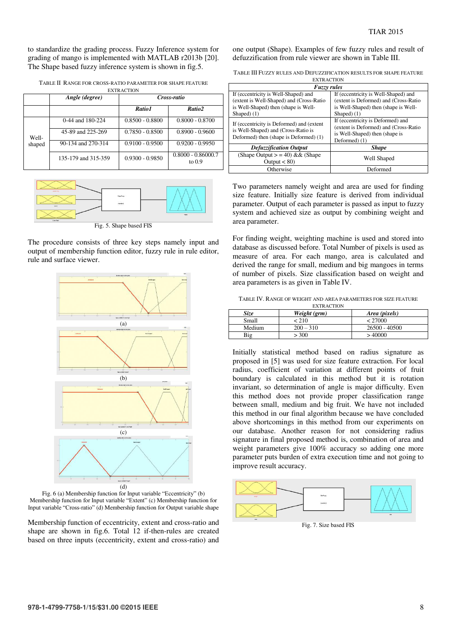to standardize the grading process. Fuzzy Inference system for grading of mango is implemented with MATLAB r2013b [20]. The Shape based fuzzy inference system is shown in fig.5.

TABLE II RANGE FOR CROSS-RATIO PARAMETER FOR SHAPE FEATURE EXTRACTION

|        | Angle (degree)      | Cross-ratio       |                                  |  |
|--------|---------------------|-------------------|----------------------------------|--|
|        |                     | Ratio 1           | Ratio2                           |  |
|        | 0-44 and 180-224    | $0.8500 - 0.8800$ | $0.8000 - 0.8700$                |  |
| Well-  | 45-89 and 225-269   | $0.7850 - 0.8500$ | $0.8900 - 0.9600$                |  |
| shaped | 90-134 and 270-314  | $0.9100 - 0.9500$ | $0.9200 - 0.9950$                |  |
|        | 135-179 and 315-359 | $0.9300 - 0.9850$ | $0.8000 - 0.86000.7$<br>to $0.9$ |  |



Fig. 5. Shape based FIS

The procedure consists of three key steps namely input and output of membership function editor, fuzzy rule in rule editor, rule and surface viewer.



Fig. 6 (a) Membership function for Input variable "Eccentricity" (b) Membership function for Input variable "Extent" (c) Membership function for Input variable "Cross-ratio" (d) Membership function for Output variable shape

Membership function of eccentricity, extent and cross-ratio and shape are shown in fig.6. Total 12 if-then-rules are created based on three inputs (eccentricity, extent and cross-ratio) and

one output (Shape). Examples of few fuzzy rules and result of defuzzification from rule viewer are shown in Table III.

| TABLE III FUZZY RULES AND DEFUZZIFICATION RESULTS FOR SHAPE FEATURE |  |
|---------------------------------------------------------------------|--|
|---------------------------------------------------------------------|--|

| <b>EXTRACTION</b>                                                                                                                        |                                                                                                                                       |  |  |
|------------------------------------------------------------------------------------------------------------------------------------------|---------------------------------------------------------------------------------------------------------------------------------------|--|--|
| <b>Fuzzy rules</b>                                                                                                                       |                                                                                                                                       |  |  |
| If (eccentricity is Well-Shaped) and<br>(extent is Well-Shaped) and (Cross-Ratio<br>is Well-Shaped) then (shape is Well-<br>Shaped $(1)$ | If (eccentricity is Well-Shaped) and<br>(extent is Deformed) and (Cross-Ratio<br>is Well-Shaped) then (shape is Well-<br>Shaped $(1)$ |  |  |
| If (eccentricity is Deformed) and (extent<br>is Well-Shaped) and (Cross-Ratio is<br>Deformed) then (shape is Deformed) (1)               | If (eccentricity is Deformed) and<br>(extent is Deformed) and (Cross-Ratio<br>is Well-Shaped) then (shape is<br>Deformed) (1)         |  |  |
| <b>Defuzzification Output</b>                                                                                                            | <b>Shape</b>                                                                                                                          |  |  |
| (Shape Output $> = 40$ ) & & (Shape<br>Output $< 80$ )                                                                                   | Well Shaped                                                                                                                           |  |  |
| Otherwise                                                                                                                                | Deformed                                                                                                                              |  |  |

Two parameters namely weight and area are used for finding size feature. Initially size feature is derived from individual parameter. Output of each parameter is passed as input to fuzzy system and achieved size as output by combining weight and area parameter.

For finding weight, weighting machine is used and stored into database as discussed before. Total Number of pixels is used as measure of area. For each mango, area is calculated and derived the range for small, medium and big mangoes in terms of number of pixels. Size classification based on weight and area parameters is as given in Table IV.

| TABLE IV. RANGE OF WEIGHT AND AREA PARAMETERS FOR SIZE FEATURE |
|----------------------------------------------------------------|
|----------------------------------------------------------------|

| <b>EXTRACTION</b> |              |                 |  |  |
|-------------------|--------------|-----------------|--|--|
| <i>Size</i>       | Weight (grm) | Area (pixels)   |  |  |
| Small             | < 210        | < 27000         |  |  |
| Medium            | $200 - 310$  | $26500 - 40500$ |  |  |
| Big               | > 300        | >40000          |  |  |

Initially statistical method based on radius signature as proposed in [5] was used for size feature extraction. For local radius, coefficient of variation at different points of fruit boundary is calculated in this method but it is rotation invariant, so determination of angle is major difficulty. Even this method does not provide proper classification range between small, medium and big fruit. We have not included this method in our final algorithm because we have concluded above shortcomings in this method from our experiments on our database. Another reason for not considering radius signature in final proposed method is, combination of area and weight parameters give 100% accuracy so adding one more parameter puts burden of extra execution time and not going to improve result accuracy.



Fig. 7. Size based FIS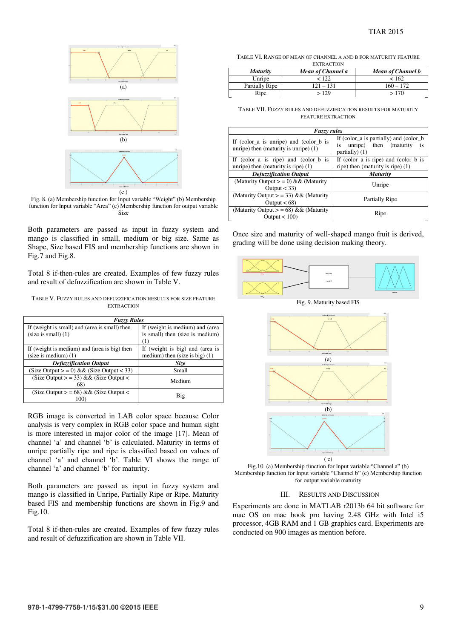

Fig. 8. (a) Membership function for Input variable "Weight" (b) Membership function for Input variable "Area" (c) Membership function for output variable Size

Both parameters are passed as input in fuzzy system and mango is classified in small, medium or big size. Same as Shape, Size based FIS and membership functions are shown in Fig.7 and Fig.8.

Total 8 if-then-rules are created. Examples of few fuzzy rules and result of defuzzification are shown in Table V.

TABLE V. FUZZY RULES AND DEFUZZIFICATION RESULTS FOR SIZE FEATURE EXTRACTION

| <b>Fuzzy Rules</b>                            |                                  |  |  |  |
|-----------------------------------------------|----------------------------------|--|--|--|
| If (weight is small) and (area is small) then | If (weight is medium) and (area  |  |  |  |
| $(size is small)$ (1)                         | is small) then (size is medium)  |  |  |  |
|                                               | (1)                              |  |  |  |
| If (weight is medium) and (area is big) then  | If (weight is big) and (area is  |  |  |  |
| $(size is medium)$ (1)                        | medium) then (size is big) $(1)$ |  |  |  |
| <b>Defuzzification Output</b>                 | Size                             |  |  |  |
| (Size Output $>$ = 0) && (Size Output < 33)   | Small                            |  |  |  |
| (Size Output $>$ = 33) && (Size Output $<$    | Medium                           |  |  |  |
| 68)                                           |                                  |  |  |  |
| (Size Output $>$ = 68) && (Size Output $<$    |                                  |  |  |  |
|                                               | Big                              |  |  |  |

RGB image is converted in LAB color space because Color analysis is very complex in RGB color space and human sight is more interested in major color of the image [17]. Mean of channel 'a' and channel 'b' is calculated. Maturity in terms of unripe partially ripe and ripe is classified based on values of channel 'a' and channel 'b'. Table VI shows the range of channel 'a' and channel 'b' for maturity.

Both parameters are passed as input in fuzzy system and mango is classified in Unripe, Partially Ripe or Ripe. Maturity based FIS and membership functions are shown in Fig.9 and Fig.10.

Total 8 if-then-rules are created. Examples of few fuzzy rules and result of defuzzification are shown in Table VII.

TABLE VI. RANGE OF MEAN OF CHANNEL A AND B FOR MATURITY FEATURE **EXTRACTION** 

| <b>Maturity</b> | Mean of Channel a | Mean of Channel b |
|-----------------|-------------------|-------------------|
| Unripe          | < 122             | < 162             |
| Partially Ripe  | $121 - 131$       | $160 - 172$       |
| Ripe            | >129              | >170              |

TABLE VII. FUZZY RULES AND DEFUZZIFICATION RESULTS FOR MATURITY FEATURE EXTRACTION

| <b>Fuzzy rules</b>                                                                    |                                                                                                |  |  |  |
|---------------------------------------------------------------------------------------|------------------------------------------------------------------------------------------------|--|--|--|
| If (color $a$ is unripe) and (color $b$ is<br>unripe) then (maturity is unripe) $(1)$ | If (color_a is partially) and (color_b<br>unripe) then (maturity<br>is<br>is<br>partially) (1) |  |  |  |
| If (color_a is ripe) and (color_b is<br>unripe) then (maturity is ripe) $(1)$         | If (color a is ripe) and (color b is<br>ripe) then (maturity is ripe) $(1)$                    |  |  |  |
| <b>Defuzzification Output</b>                                                         | <b>Maturity</b>                                                                                |  |  |  |
| (Maturity Output $> = 0$ ) & & (Maturity<br>Output $<$ 33)                            | Unripe                                                                                         |  |  |  |
| (Maturity Output $>$ = 33) && (Maturity<br>Output $< 68$ )                            | Partially Ripe                                                                                 |  |  |  |
| (Maturity Output $> = 68$ ) && (Maturity<br>Output $< 100$ )                          | Ripe                                                                                           |  |  |  |

Once size and maturity of well-shaped mango fruit is derived, grading will be done using decision making theory.



Fig. 9. Maturity based FIS



Fig.10. (a) Membership function for Input variable "Channel a" (b) Membership function for Input variable "Channel b" (c) Membership function for output variable maturity

### III. RESULTS AND DISCUSSION

Experiments are done in MATLAB r2013b 64 bit software for mac OS on mac book pro having 2.48 GHz with Intel i5 processor, 4GB RAM and 1 GB graphics card. Experiments are conducted on 900 images as mention before.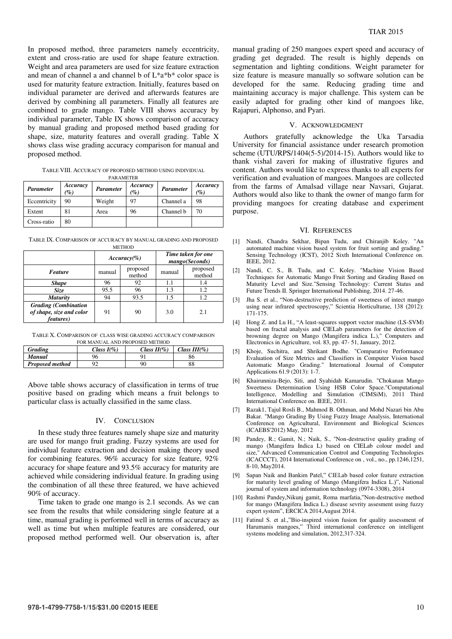In proposed method, three parameters namely eccentricity, extent and cross-ratio are used for shape feature extraction. Weight and area parameters are used for size feature extraction and mean of channel a and channel b of  $L^*a^*b^*$  color space is used for maturity feature extraction. Initially, features based on individual parameter are derived and afterwards features are derived by combining all parameters. Finally all features are combined to grade mango. Table VIII shows accuracy by individual parameter, Table IX shows comparison of accuracy by manual grading and proposed method based grading for shape, size, maturity features and overall grading. Table X shows class wise grading accuracy comparison for manual and proposed method.

TABLE VIII. ACCURACY OF PROPOSED METHOD USING INDIVIDUAL PARAMETER

| Parameter    | Accuracy<br>$\mathcal{C}_0$ | <b>Parameter</b> | Accuracy<br>$\%$ | <b>Parameter</b> | Accuracy<br>(%) |
|--------------|-----------------------------|------------------|------------------|------------------|-----------------|
| Eccentricity | 90                          | Weight           | 97               | Channel a        | 98              |
| Extent       | 81                          | Area             | 96               | Channel b        | 70              |
| Cross-ratio  | 80                          |                  |                  |                  |                 |

TABLE IX. COMPARISON OF ACCURACY BY MANUAL GRADING AND PROPOSED **METHOD** 

|                                                                              | $Accuracy(\% )$ |                    | Time taken for one<br>mango(Seconds) |                    |
|------------------------------------------------------------------------------|-----------------|--------------------|--------------------------------------|--------------------|
| <b>Feature</b>                                                               | manual          | proposed<br>method | manual                               | proposed<br>method |
| <b>Shape</b>                                                                 | 96              | 92                 | 1.1                                  | 1.4                |
| <i>Size</i>                                                                  | 95.5            | 96                 | 1.3                                  | 1.2.               |
| <b>Maturity</b>                                                              | 94              | 93.5               | 1.5                                  | 1.2                |
| <b>Grading</b> (Combination<br>of shape, size and color<br><i>features</i> ) | 91              | 90                 | 3.0                                  | 2.1                |

TABLE X. COMPARISON OF CLASS WISE GRADING ACCURACY COMPARISON

| FOR MANUAL AND PROPOSED METHOD                                         |    |    |    |  |
|------------------------------------------------------------------------|----|----|----|--|
| Class $H(\% )$<br>Class $I(\% )$<br>Class $III(\% )$<br><b>Grading</b> |    |    |    |  |
| <b>Manual</b>                                                          | 96 | Q1 | 86 |  |
| <b>Proposed method</b>                                                 | ററ | 90 | 88 |  |

Above table shows accuracy of classification in terms of true positive based on grading which means a fruit belongs to particular class is actually classified in the same class.

## IV. CONCLUSION

In these study three features namely shape size and maturity are used for mango fruit grading. Fuzzy systems are used for individual feature extraction and decision making theory used for combining features. 96% accuracy for size feature, 92% accuracy for shape feature and 93.5% accuracy for maturity are achieved while considering individual feature. In grading using the combination of all these three featured, we have achieved 90% of accuracy.

Time taken to grade one mango is 2.1 seconds. As we can see from the results that while considering single feature at a time, manual grading is performed well in terms of accuracy as well as time but when multiple features are considered, our proposed method performed well. Our observation is, after

manual grading of 250 mangoes expert speed and accuracy of grading get degraded. The result is highly depends on segmentation and lighting conditions. Weight parameter for size feature is measure manually so software solution can be developed for the same. Reducing grading time and maintaining accuracy is major challenge. This system can be easily adapted for grading other kind of mangoes like, Rajapuri, Alphonso, and Pyari.

#### V. ACKNOWLEDGMENT

Authors gratefully acknowledge the Uka Tarsadia University for financial assistance under research promotion scheme (UTU/RPS/1404(5-5)/2014-15). Authors would like to thank vishal zaveri for making of illustrative figures and content. Authors would like to express thanks to all experts for verification and evaluation of mangoes. Mangoes are collected from the farms of Amalsad village near Navsari, Gujarat. Authors would also like to thank the owner of mango farm for providing mangoes for creating database and experiment purpose.

#### VI. REFERENCES

- [1] Nandi, Chandra Sekhar, Bipan Tudu, and Chiranjib Koley. "An automated machine vision based system for fruit sorting and grading." Sensing Technology (ICST), 2012 Sixth International Conference on. IEEE, 2012.
- [2] Nandi, C. S., B. Tudu, and C. Koley. "Machine Vision Based Techniques for Automatic Mango Fruit Sorting and Grading Based on Maturity Level and Size."Sensing Technology: Current Status and Future Trends II. Springer International Publishing, 2014. 27-46.
- [3] Jha S. et al., "Non-destructive prediction of sweetness of intect mango using near infrared spectroscopy," Scientia Horticulturae, 138 (2012): 171-175.
- [4] Hong Z. and Lu H., "A least-squares support vector machine (LS-SVM) based on fractal analysis and CIELab parameters for the detection of browning degree on Mango (Mangifera indica L.)," Computers and Electronics in Agriculture, vol. 83, pp. 47- 51, January, 2012.
- [5] Khoje, Suchitra, and Shrikant Bodhe. "Comparative Performance Evaluation of Size Metrics and Classifiers in Computer Vision based Automatic Mango Grading." International Journal of Computer Applications 61.9 (2013): 1-7.
- [6] Khairunniza-Bejo, Siti, and Syahidah Kamarudin. "Chokanan Mango Sweetness Determination Using HSB Color Space."Computational Intelligence, Modelling and Simulation (CIMSiM), 2011 Third International Conference on. IEEE, 2011.
- [7] Razak1, Tajul Rosli B., Mahmod B. Othman, and Mohd Nazari bin Abu Bakar. "Mango Grading By Using Fuzzy Image Analysis, International Conference on Agricultural, Environment and Biological Sciences (ICAEBS'2012) May, 2012
- [8] Pandey, R.; Gamit, N.; Naik, S., "Non-destructive quality grading of mango (Mangifera Indica L) based on CIELab colour model and size," Advanced Communication Control and Computing Technologies (ICACCCT), 2014 International Conference on , vol., no., pp.1246,1251, 8-10, May2014.
- [9] Sapan Naik and Bankim Patel," CIELab based color feature extraction for maturity level grading of Mango (Mangifera Indica L.)", National journal of system and information technology (0974-3308), 2014
- [10] Rashmi Pandey,Nikunj gamit, Roma marfatia,"Non-destructive method for mango (Mangifera Indica L.) disease sevrity assesment using fuzzy expert system", ERCICA 2014,August 2014.
- [11] Fatinul S. et al.,"Bio-inspired vision fusion for quality assessment of Harumanis mangoes," Third international conference on intelligent systems modeling and simulation, 2012,317-324.